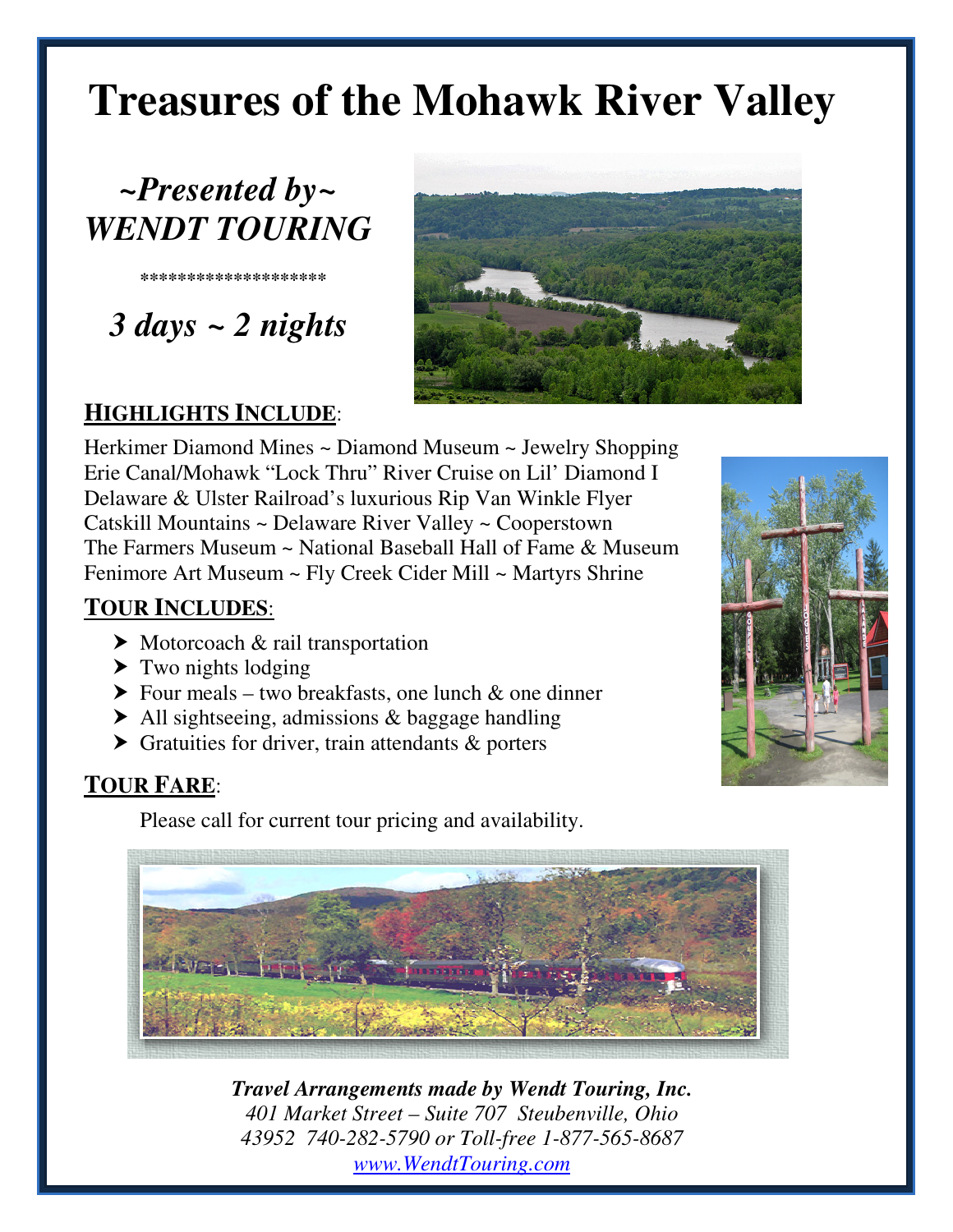# **Treasures of the Mohawk River Valley**

## *~Presented by~ WENDT TOURING*

**\*\*\*\*\*\*\*\*\*\*\*\*\*\*\*\*\*\*\*\*** 

 *3 days ~ 2 nights* 



### **HIGHLIGHTS INCLUDE**:

Herkimer Diamond Mines ~ Diamond Museum ~ Jewelry Shopping Erie Canal/Mohawk "Lock Thru" River Cruise on Lil' Diamond I Delaware & Ulster Railroad's luxurious Rip Van Winkle Flyer Catskill Mountains ~ Delaware River Valley ~ Cooperstown The Farmers Museum ~ National Baseball Hall of Fame & Museum Fenimore Art Museum ~ Fly Creek Cider Mill ~ Martyrs Shrine

#### **TOUR INCLUDES**:

- $\triangleright$  Motorcoach & rail transportation
- $\blacktriangleright$  Two nights lodging
- $\triangleright$  Four meals two breakfasts, one lunch & one dinner
- ▶ All sightseeing, admissions & baggage handling
- $\triangleright$  Gratuities for driver, train attendants  $\&$  porters

### **TOUR FARE**:

Please call for current tour pricing and availability.





*Travel Arrangements made by Wendt Touring, Inc. 401 Market Street – Suite 707 Steubenville, Ohio 43952 740-282-5790 or Toll-free 1-877-565-8687 www.WendtTouring.com*